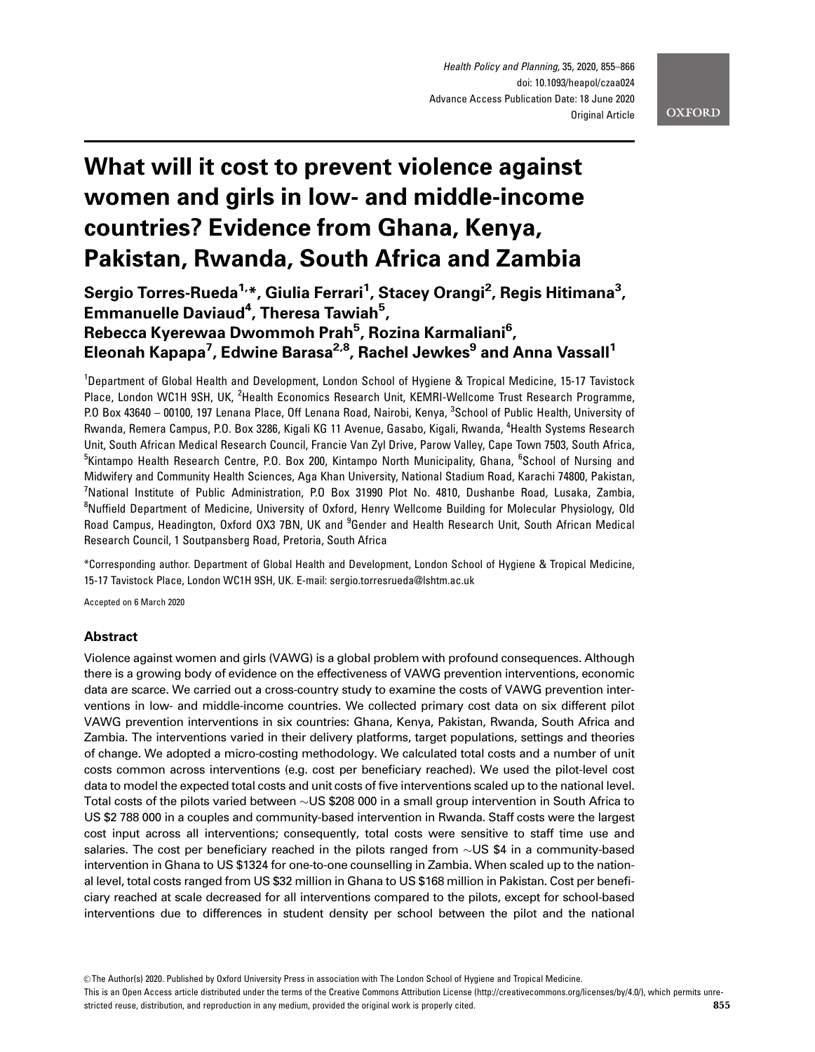Health Policy and Planning, 35, 2020, 855–866 doi: 10.1093/heapol/czaa024 Advance Access Publication Date: 18 June 2020 Original Article

**OXFORD** 

# What will it cost to prevent violence against women and girls in low- and middle-income countries? Evidence from Ghana, Kenya, Pakistan, Rwanda, South Africa and Zambia

Sergio Torres-Rueda<sup>1,</sup>\*, Giulia Ferrari<sup>1</sup>, Stacey Orangi<sup>2</sup>, Regis Hitimana<sup>3</sup>, Emmanuelle Daviaud<sup>4</sup>, Theresa Tawiah<sup>5</sup>, Rebecca Kyerewaa Dwommoh Prah<sup>5</sup>, Rozina Karmaliani<sup>6</sup>, Eleonah Kapapa<sup>7</sup>, Edwine Barasa<sup>2,8</sup>, Rachel Jewkes<sup>9</sup> and Anna Vassall<sup>1</sup>

<sup>1</sup>Department of Global Health and Development, London School of Hygiene & Tropical Medicine, 15-17 Tavistock Place, London WC1H 9SH, UK, <sup>2</sup>Health Economics Research Unit, KEMRI-Wellcome Trust Research Programme, P.O Box 43640 – 00100, 197 Lenana Place, Off Lenana Road, Nairobi, Kenya, <sup>3</sup>School of Public Health, University of Rwanda, Remera Campus, P.O. Box 3286, Kigali KG 11 Avenue, Gasabo, Kigali, Rwanda, <sup>4</sup>Health Systems Research Unit, South African Medical Research Council, Francie Van Zyl Drive, Parow Valley, Cape Town 7503, South Africa, <sup>5</sup>Kintampo Health Research Centre, P.O. Box 200, Kintampo North Municipality, Ghana, <sup>6</sup>School of Nursing and Midwifery and Community Health Sciences, Aga Khan University, National Stadium Road, Karachi 74800, Pakistan, <sup>7</sup>National Institute of Public Administration, P.O Box 31990 Plot No. 4810, Dushanbe Road, Lusaka, Zambia, <sup>8</sup>Nuffield Department of Medicine, University of Oxford, Henry Wellcome Building for Molecular Physiology, Old Road Campus, Headington, Oxford OX3 7BN, UK and <sup>9</sup>Gender and Health Research Unit, South African Medical Research Council, 1 Soutpansberg Road, Pretoria, South Africa

\*Corresponding author. Department of Global Health and Development, London School of Hygiene & Tropical Medicine, 15-17 Tavistock Place, London WC1H 9SH, UK. E-mail: sergio.torresrueda@lshtm.ac.uk

Accepted on 6 March 2020

# Abstract

Violence against women and girls (VAWG) is a global problem with profound consequences. Although there is a growing body of evidence on the effectiveness of VAWG prevention interventions, economic data are scarce. We carried out a cross-country study to examine the costs of VAWG prevention interventions in low- and middle-income countries. We collected primary cost data on six different pilot VAWG prevention interventions in six countries: Ghana, Kenya, Pakistan, Rwanda, South Africa and Zambia. The interventions varied in their delivery platforms, target populations, settings and theories of change. We adopted a micro-costing methodology. We calculated total costs and a number of unit costs common across interventions (e.g. cost per beneficiary reached). We used the pilot-level cost data to model the expected total costs and unit costs of five interventions scaled up to the national level. Total costs of the pilots varied between  $\sim$ US \$208 000 in a small group intervention in South Africa to US \$2 788 000 in a couples and community-based intervention in Rwanda. Staff costs were the largest cost input across all interventions; consequently, total costs were sensitive to staff time use and salaries. The cost per beneficiary reached in the pilots ranged from  $\sim$ US \$4 in a community-based intervention in Ghana to US \$1324 for one-to-one counselling in Zambia. When scaled up to the national level, total costs ranged from US \$32 million in Ghana to US \$168 million in Pakistan. Cost per beneficiary reached at scale decreased for all interventions compared to the pilots, except for school-based interventions due to differences in student density per school between the pilot and the national

This is an Open Access article distributed under the terms of the Creative Commons Attribution License (http://creativecommons.org/licenses/by/4.0/), which permits unrestricted reuse, distribution, and reproduction in any medium, provided the original work is properly cited. **855** 

V<sup>C</sup> The Author(s) 2020. Published by Oxford University Press in association with The London School of Hygiene and Tropical Medicine.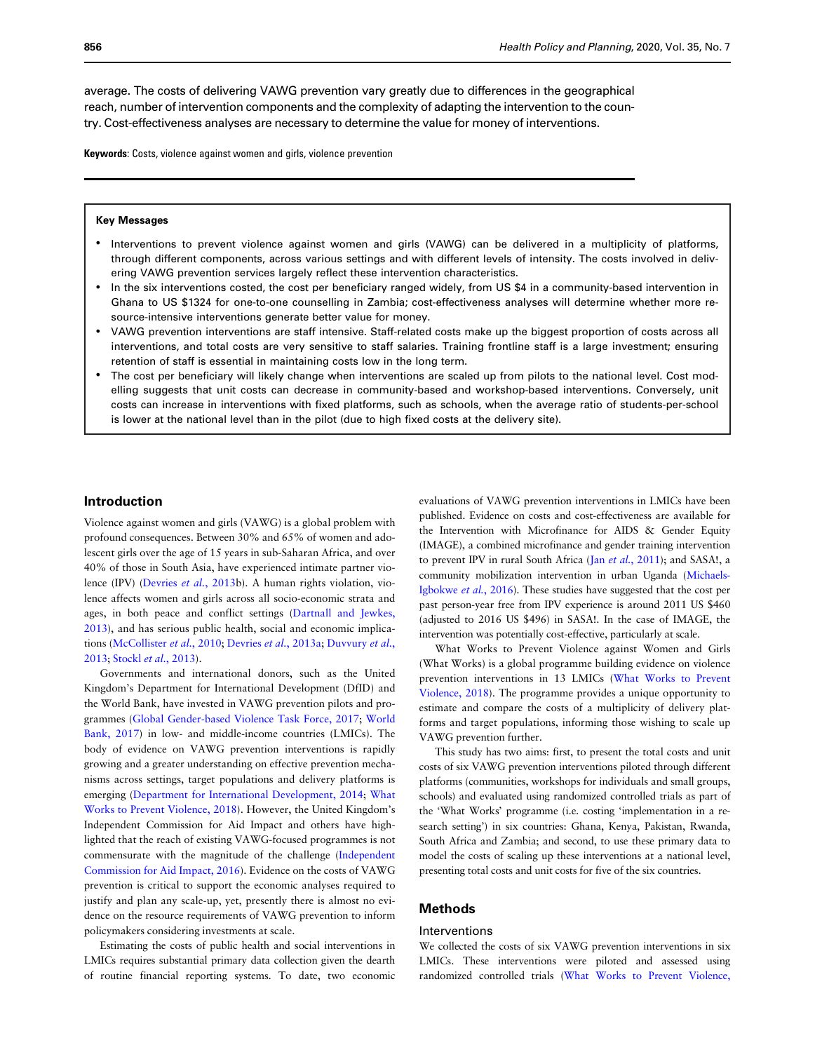average. The costs of delivering VAWG prevention vary greatly due to differences in the geographical reach, number of intervention components and the complexity of adapting the intervention to the country. Cost-effectiveness analyses are necessary to determine the value for money of interventions.

Keywords: Costs, violence against women and girls, violence prevention

#### Key Messages

- Interventions to prevent violence against women and girls (VAWG) can be delivered in a multiplicity of platforms, through different components, across various settings and with different levels of intensity. The costs involved in delivering VAWG prevention services largely reflect these intervention characteristics.
- In the six interventions costed, the cost per beneficiary ranged widely, from US \$4 in a community-based intervention in Ghana to US \$1324 for one-to-one counselling in Zambia; cost-effectiveness analyses will determine whether more resource-intensive interventions generate better value for money.
- VAWG prevention interventions are staff intensive. Staff-related costs make up the biggest proportion of costs across all interventions, and total costs are very sensitive to staff salaries. Training frontline staff is a large investment; ensuring retention of staff is essential in maintaining costs low in the long term.
- The cost per beneficiary will likely change when interventions are scaled up from pilots to the national level. Cost modelling suggests that unit costs can decrease in community-based and workshop-based interventions. Conversely, unit costs can increase in interventions with fixed platforms, such as schools, when the average ratio of students-per-school is lower at the national level than in the pilot (due to high fixed costs at the delivery site).

## Introduction

Violence against women and girls (VAWG) is a global problem with profound consequences. Between 30% and 65% of women and adolescent girls over the age of 15 years in sub-Saharan Africa, and over 40% of those in South Asia, have experienced intimate partner violence (IPV) [\(Devries](#page-11-0) et al., 2013b). A human rights violation, violence affects women and girls across all socio-economic strata and ages, in both peace and conflict settings [\(Dartnall and Jewkes,](#page-11-0) [2013\)](#page-11-0), and has serious public health, social and economic implications ([McCollister](#page-11-0) et al., 2010; Devries et al.[, 2013a;](#page-11-0) [Duvvury](#page-11-0) et al., [2013;](#page-11-0) Stockl et al.[, 2013\)](#page-11-0).

Governments and international donors, such as the United Kingdom's Department for International Development (DfID) and the World Bank, have invested in VAWG prevention pilots and programmes ([Global Gender-based Violence Task Force, 2017;](#page-11-0) [World](#page-11-0) [Bank, 2017\)](#page-11-0) in low- and middle-income countries (LMICs). The body of evidence on VAWG prevention interventions is rapidly growing and a greater understanding on effective prevention mechanisms across settings, target populations and delivery platforms is emerging [\(Department for International Development, 2014](#page-11-0); [What](#page-11-0) [Works to Prevent Violence, 2018](#page-11-0)). However, the United Kingdom's Independent Commission for Aid Impact and others have highlighted that the reach of existing VAWG-focused programmes is not commensurate with the magnitude of the challenge ([Independent](#page-11-0) [Commission for Aid Impact, 2016](#page-11-0)). Evidence on the costs of VAWG prevention is critical to support the economic analyses required to justify and plan any scale-up, yet, presently there is almost no evidence on the resource requirements of VAWG prevention to inform policymakers considering investments at scale.

Estimating the costs of public health and social interventions in LMICs requires substantial primary data collection given the dearth of routine financial reporting systems. To date, two economic evaluations of VAWG prevention interventions in LMICs have been published. Evidence on costs and cost-effectiveness are available for the Intervention with Microfinance for AIDS & Gender Equity (IMAGE), a combined microfinance and gender training intervention to prevent IPV in rural South Africa (Jan et al.[, 2011](#page-11-0)); and SASA!, a community mobilization intervention in urban Uganda [\(Michaels-](#page-11-0)[Igbokwe](#page-11-0) et al., 2016). These studies have suggested that the cost per past person-year free from IPV experience is around 2011 US \$460 (adjusted to 2016 US \$496) in SASA!. In the case of IMAGE, the intervention was potentially cost-effective, particularly at scale.

What Works to Prevent Violence against Women and Girls (What Works) is a global programme building evidence on violence prevention interventions in 13 LMICs [\(What Works to Prevent](#page-11-0) [Violence, 2018](#page-11-0)). The programme provides a unique opportunity to estimate and compare the costs of a multiplicity of delivery platforms and target populations, informing those wishing to scale up VAWG prevention further.

This study has two aims: first, to present the total costs and unit costs of six VAWG prevention interventions piloted through different platforms (communities, workshops for individuals and small groups, schools) and evaluated using randomized controlled trials as part of the 'What Works' programme (i.e. costing 'implementation in a research setting') in six countries: Ghana, Kenya, Pakistan, Rwanda, South Africa and Zambia; and second, to use these primary data to model the costs of scaling up these interventions at a national level, presenting total costs and unit costs for five of the six countries.

# Methods

#### Interventions

We collected the costs of six VAWG prevention interventions in six LMICs. These interventions were piloted and assessed using randomized controlled trials [\(What Works to Prevent Violence,](#page-11-0)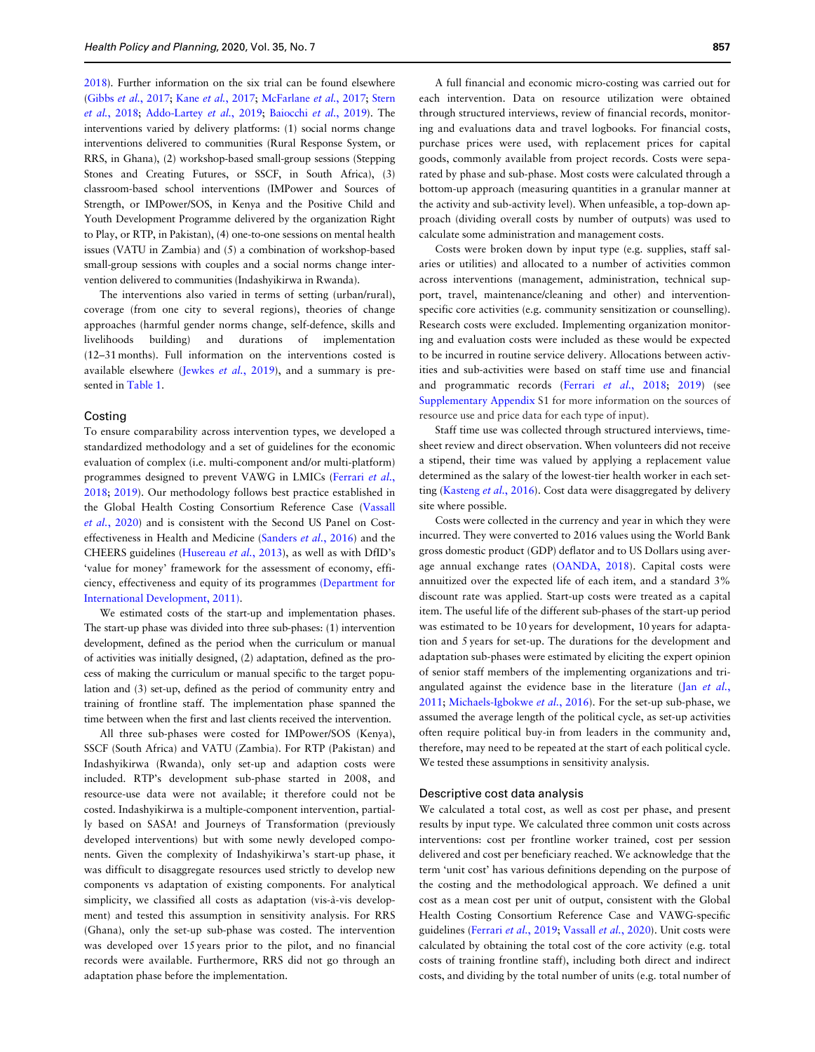[2018](#page-11-0)). Further information on the six trial can be found elsewhere (Gibbs et al.[, 2017;](#page-11-0) Kane et al.[, 2017;](#page-11-0) [McFarlane](#page-11-0) et al., 2017; [Stern](#page-11-0) et al.[, 2018;](#page-11-0) [Addo-Lartey](#page-11-0) et al., 2019; [Baiocchi](#page-11-0) et al., 2019). The interventions varied by delivery platforms: (1) social norms change interventions delivered to communities (Rural Response System, or RRS, in Ghana), (2) workshop-based small-group sessions (Stepping Stones and Creating Futures, or SSCF, in South Africa), (3) classroom-based school interventions (IMPower and Sources of Strength, or IMPower/SOS, in Kenya and the Positive Child and Youth Development Programme delivered by the organization Right to Play, or RTP, in Pakistan), (4) one-to-one sessions on mental health issues (VATU in Zambia) and (5) a combination of workshop-based small-group sessions with couples and a social norms change intervention delivered to communities (Indashyikirwa in Rwanda).

The interventions also varied in terms of setting (urban/rural), coverage (from one city to several regions), theories of change approaches (harmful gender norms change, self-defence, skills and livelihoods building) and durations of implementation (12–31 months). Full information on the interventions costed is available elsewhere [\(Jewkes](#page-11-0) et al., 2019), and a summary is presented in [Table 1](#page-3-0).

## Costing

To ensure comparability across intervention types, we developed a standardized methodology and a set of guidelines for the economic evaluation of complex (i.e. multi-component and/or multi-platform) programmes designed to prevent VAWG in LMICs [\(Ferrari](#page-11-0) et al., [2018;](#page-11-0) [2019](#page-11-0)). Our methodology follows best practice established in the Global Health Costing Consortium Reference Case ([Vassall](#page-11-0) et al.[, 2020](#page-11-0)) and is consistent with the Second US Panel on Costeffectiveness in Health and Medicine ([Sanders](#page-11-0) et al., 2016) and the CHEERS guidelines [\(Husereau](#page-11-0) et al., 2013), as well as with DfID's 'value for money' framework for the assessment of economy, efficiency, effectiveness and equity of its programmes [\(Department for](#page-11-0) [International Development, 2011\)](#page-11-0).

We estimated costs of the start-up and implementation phases. The start-up phase was divided into three sub-phases: (1) intervention development, defined as the period when the curriculum or manual of activities was initially designed, (2) adaptation, defined as the process of making the curriculum or manual specific to the target population and (3) set-up, defined as the period of community entry and training of frontline staff. The implementation phase spanned the time between when the first and last clients received the intervention.

All three sub-phases were costed for IMPower/SOS (Kenya), SSCF (South Africa) and VATU (Zambia). For RTP (Pakistan) and Indashyikirwa (Rwanda), only set-up and adaption costs were included. RTP's development sub-phase started in 2008, and resource-use data were not available; it therefore could not be costed. Indashyikirwa is a multiple-component intervention, partially based on SASA! and Journeys of Transformation (previously developed interventions) but with some newly developed components. Given the complexity of Indashyikirwa's start-up phase, it was difficult to disaggregate resources used strictly to develop new components vs adaptation of existing components. For analytical simplicity, we classified all costs as adaptation (vis-à-vis development) and tested this assumption in sensitivity analysis. For RRS (Ghana), only the set-up sub-phase was costed. The intervention was developed over 15 years prior to the pilot, and no financial records were available. Furthermore, RRS did not go through an adaptation phase before the implementation.

A full financial and economic micro-costing was carried out for each intervention. Data on resource utilization were obtained through structured interviews, review of financial records, monitoring and evaluations data and travel logbooks. For financial costs, purchase prices were used, with replacement prices for capital goods, commonly available from project records. Costs were separated by phase and sub-phase. Most costs were calculated through a bottom-up approach (measuring quantities in a granular manner at the activity and sub-activity level). When unfeasible, a top-down approach (dividing overall costs by number of outputs) was used to calculate some administration and management costs.

Costs were broken down by input type (e.g. supplies, staff salaries or utilities) and allocated to a number of activities common across interventions (management, administration, technical support, travel, maintenance/cleaning and other) and interventionspecific core activities (e.g. community sensitization or counselling). Research costs were excluded. Implementing organization monitoring and evaluation costs were included as these would be expected to be incurred in routine service delivery. Allocations between activities and sub-activities were based on staff time use and financial and programmatic records (Ferrari et al.[, 2018;](#page-11-0) [2019](#page-11-0)) (see [Supplementary Appendix](https://academic.oup.com/heapol/article-lookup/doi/10.1093/heapol/czaa024#supplementary-data) S1 for more information on the sources of resource use and price data for each type of input).

Staff time use was collected through structured interviews, timesheet review and direct observation. When volunteers did not receive a stipend, their time was valued by applying a replacement value determined as the salary of the lowest-tier health worker in each set-ting [\(Kasteng](#page-11-0) et al., 2016). Cost data were disaggregated by delivery site where possible.

Costs were collected in the currency and year in which they were incurred. They were converted to 2016 values using the World Bank gross domestic product (GDP) deflator and to US Dollars using average annual exchange rates ([OANDA, 2018](#page-11-0)). Capital costs were annuitized over the expected life of each item, and a standard 3% discount rate was applied. Start-up costs were treated as a capital item. The useful life of the different sub-phases of the start-up period was estimated to be 10 years for development, 10 years for adaptation and 5 years for set-up. The durations for the development and adaptation sub-phases were estimated by eliciting the expert opinion of senior staff members of the implementing organizations and triangulated against the evidence base in the literature (Jan [et al.](#page-11-0), [2011;](#page-11-0) [Michaels-Igbokwe](#page-11-0) et al., 2016). For the set-up sub-phase, we assumed the average length of the political cycle, as set-up activities often require political buy-in from leaders in the community and, therefore, may need to be repeated at the start of each political cycle. We tested these assumptions in sensitivity analysis.

## Descriptive cost data analysis

We calculated a total cost, as well as cost per phase, and present results by input type. We calculated three common unit costs across interventions: cost per frontline worker trained, cost per session delivered and cost per beneficiary reached. We acknowledge that the term 'unit cost' has various definitions depending on the purpose of the costing and the methodological approach. We defined a unit cost as a mean cost per unit of output, consistent with the Global Health Costing Consortium Reference Case and VAWG-specific guidelines [\(Ferrari](#page-11-0) et al., 2019; [Vassall](#page-11-0) et al., 2020). Unit costs were calculated by obtaining the total cost of the core activity (e.g. total costs of training frontline staff), including both direct and indirect costs, and dividing by the total number of units (e.g. total number of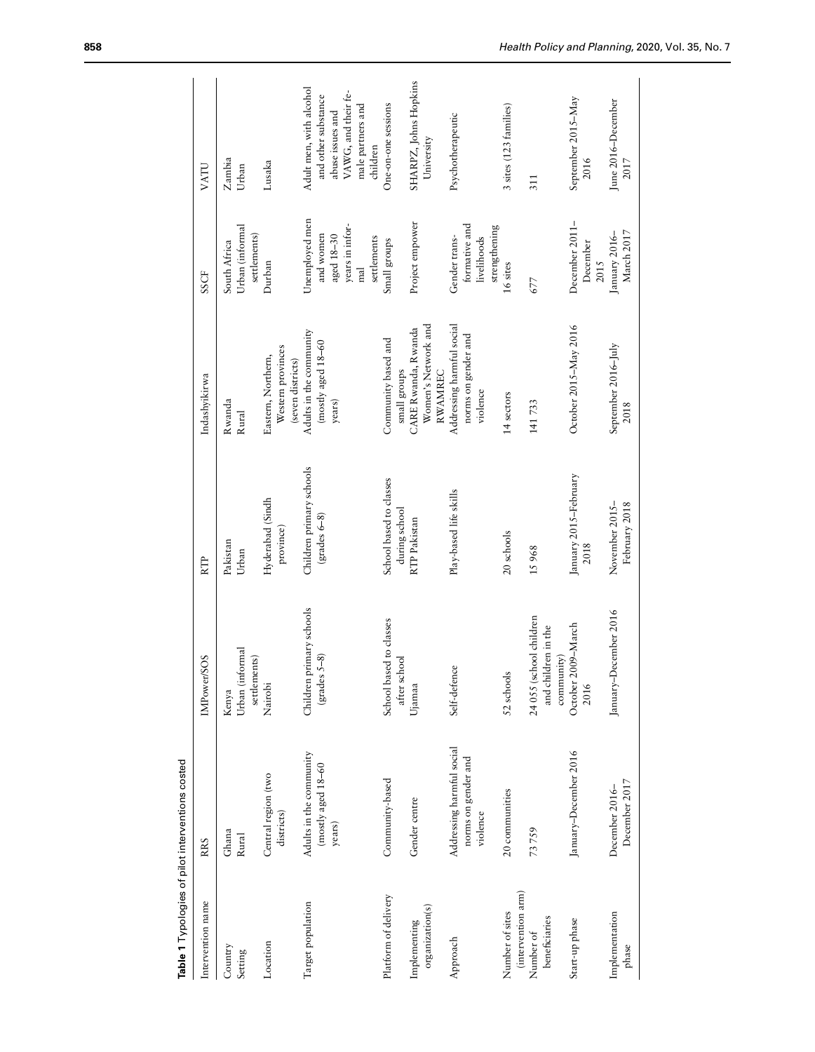<span id="page-3-0"></span>

|                                       | Table 1 Typologies of pilot interventions costed             |                                                              |                                           |                                                              |                                                                                              |                                                                                                                            |
|---------------------------------------|--------------------------------------------------------------|--------------------------------------------------------------|-------------------------------------------|--------------------------------------------------------------|----------------------------------------------------------------------------------------------|----------------------------------------------------------------------------------------------------------------------------|
| Intervention name                     | RRS                                                          | IMPower/SOS                                                  | RTP                                       | Indashyikirwa                                                | SSCF                                                                                         | VATU                                                                                                                       |
| Country<br>Setting                    | Ghana<br>Rural                                               | Urban (informal<br>settlements)<br>Kenya                     | Pakistan<br>Urban                         | Rwanda<br>Rural                                              | Urban (informal<br>settlements)<br>South Africa                                              | Zambia<br>Urban                                                                                                            |
| Location                              | Central region (two<br>districts)                            | Nairobi                                                      | Hyderabad (Sindh<br>province)             | Western provinces<br>Eastern, Northern,<br>(seven districts) | Durban                                                                                       | Lusaka                                                                                                                     |
| Target population                     | Adults in the community<br>$(mosty$ aged $18-60$<br>years)   | Children primary schools<br>$grades S-8)$                    | Children primary schools<br>$grades 6-8)$ | Adults in the community<br>(mostly aged 18-60<br>years)      | Unemployed men<br>years in infor-<br>and women<br>aged 18-30<br>settlements<br>$_{\rm{mal}}$ | Adult men, with alcohol<br>VAWG, and their fe-<br>and other substance<br>male partners and<br>abuse issues and<br>children |
| Platform of delivery                  | Community-based                                              | School based to classes<br>after school                      | School based to classes<br>during school  | Community based and<br>small groups                          | Small groups                                                                                 | One-on-one sessions                                                                                                        |
| organization(s)<br>Implementing       | Gender centre                                                | Ujamaa                                                       | RTP Pakistan                              | Women's Network and<br>CARE Rwanda, Rwanda<br><b>RWAMREC</b> | Project empower                                                                              | SHARPZ, Johns Hopkins<br>University                                                                                        |
| Approach                              | Addressing harmful social<br>norms on gender and<br>violence | Self-defence                                                 | Play-based life skills                    | Addressing harmful social<br>norms on gender and<br>violence | formative and<br>strengthening<br>Gender trans-<br>livelihoods                               | Psychotherapeutic                                                                                                          |
| (intervention arm)<br>Number of sites | 20 communities                                               | 52 schools                                                   | 20 schools                                | 14 sectors                                                   | 16 sites                                                                                     | 3 sites (123 families)                                                                                                     |
| beneficiaries<br>Number of            | 73759                                                        | 24 055 (school children<br>and children in the<br>community) | 15968                                     | 141733                                                       | 677                                                                                          | 311                                                                                                                        |
| Start-up phase                        | January-December 2016                                        | October 2009-March<br>2016                                   | January 2015-February<br>2018             | October 2015-May 2016                                        | December 2011-<br>December<br>2015                                                           | September 2015-May<br>2016                                                                                                 |
| Implementation<br>phase               | December 2017<br>December 2016-                              | January-December 2016                                        | November 2015-<br>February 2018           | September 2016-July<br>2018                                  | March 2017<br>January 2016-                                                                  | June 2016-December<br>2017                                                                                                 |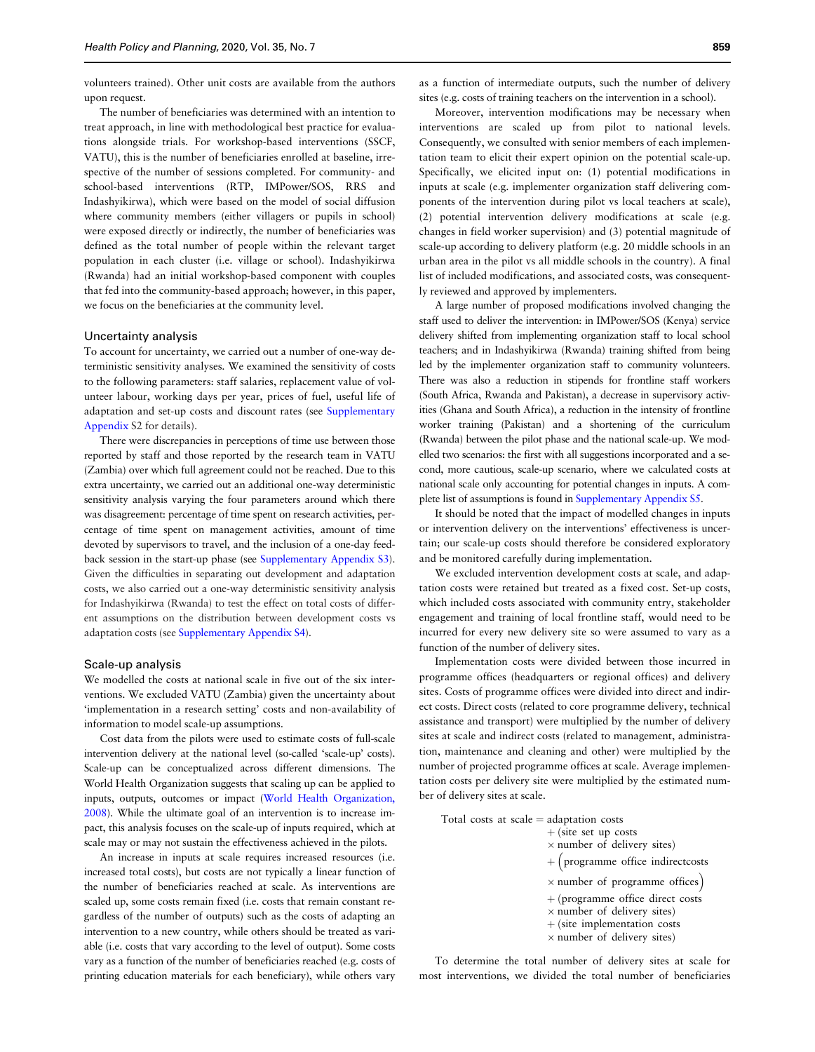volunteers trained). Other unit costs are available from the authors upon request.

The number of beneficiaries was determined with an intention to treat approach, in line with methodological best practice for evaluations alongside trials. For workshop-based interventions (SSCF, VATU), this is the number of beneficiaries enrolled at baseline, irrespective of the number of sessions completed. For community- and school-based interventions (RTP, IMPower/SOS, RRS and Indashyikirwa), which were based on the model of social diffusion where community members (either villagers or pupils in school) were exposed directly or indirectly, the number of beneficiaries was defined as the total number of people within the relevant target population in each cluster (i.e. village or school). Indashyikirwa (Rwanda) had an initial workshop-based component with couples that fed into the community-based approach; however, in this paper, we focus on the beneficiaries at the community level.

## Uncertainty analysis

To account for uncertainty, we carried out a number of one-way deterministic sensitivity analyses. We examined the sensitivity of costs to the following parameters: staff salaries, replacement value of volunteer labour, working days per year, prices of fuel, useful life of adaptation and set-up costs and discount rates (see [Supplementary](https://academic.oup.com/heapol/article-lookup/doi/10.1093/heapol/czaa024#supplementary-data) [Appendix](https://academic.oup.com/heapol/article-lookup/doi/10.1093/heapol/czaa024#supplementary-data) S2 for details).

There were discrepancies in perceptions of time use between those reported by staff and those reported by the research team in VATU (Zambia) over which full agreement could not be reached. Due to this extra uncertainty, we carried out an additional one-way deterministic sensitivity analysis varying the four parameters around which there was disagreement: percentage of time spent on research activities, percentage of time spent on management activities, amount of time devoted by supervisors to travel, and the inclusion of a one-day feedback session in the start-up phase (see [Supplementary Appendix S3](https://academic.oup.com/heapol/article-lookup/doi/10.1093/heapol/czaa024#supplementary-data)). Given the difficulties in separating out development and adaptation costs, we also carried out a one-way deterministic sensitivity analysis for Indashyikirwa (Rwanda) to test the effect on total costs of different assumptions on the distribution between development costs vs adaptation costs (see [Supplementary Appendix S4](https://academic.oup.com/heapol/article-lookup/doi/10.1093/heapol/czaa024#supplementary-data)).

### Scale-up analysis

We modelled the costs at national scale in five out of the six interventions. We excluded VATU (Zambia) given the uncertainty about 'implementation in a research setting' costs and non-availability of information to model scale-up assumptions.

Cost data from the pilots were used to estimate costs of full-scale intervention delivery at the national level (so-called 'scale-up' costs). Scale-up can be conceptualized across different dimensions. The World Health Organization suggests that scaling up can be applied to inputs, outputs, outcomes or impact [\(World Health Organization,](#page-11-0) [2008](#page-11-0)). While the ultimate goal of an intervention is to increase impact, this analysis focuses on the scale-up of inputs required, which at scale may or may not sustain the effectiveness achieved in the pilots.

An increase in inputs at scale requires increased resources (i.e. increased total costs), but costs are not typically a linear function of the number of beneficiaries reached at scale. As interventions are scaled up, some costs remain fixed (i.e. costs that remain constant regardless of the number of outputs) such as the costs of adapting an intervention to a new country, while others should be treated as variable (i.e. costs that vary according to the level of output). Some costs vary as a function of the number of beneficiaries reached (e.g. costs of printing education materials for each beneficiary), while others vary

as a function of intermediate outputs, such the number of delivery sites (e.g. costs of training teachers on the intervention in a school).

Moreover, intervention modifications may be necessary when interventions are scaled up from pilot to national levels. Consequently, we consulted with senior members of each implementation team to elicit their expert opinion on the potential scale-up. Specifically, we elicited input on: (1) potential modifications in inputs at scale (e.g. implementer organization staff delivering components of the intervention during pilot vs local teachers at scale), (2) potential intervention delivery modifications at scale (e.g. changes in field worker supervision) and (3) potential magnitude of scale-up according to delivery platform (e.g. 20 middle schools in an urban area in the pilot vs all middle schools in the country). A final list of included modifications, and associated costs, was consequently reviewed and approved by implementers.

A large number of proposed modifications involved changing the staff used to deliver the intervention: in IMPower/SOS (Kenya) service delivery shifted from implementing organization staff to local school teachers; and in Indashyikirwa (Rwanda) training shifted from being led by the implementer organization staff to community volunteers. There was also a reduction in stipends for frontline staff workers (South Africa, Rwanda and Pakistan), a decrease in supervisory activities (Ghana and South Africa), a reduction in the intensity of frontline worker training (Pakistan) and a shortening of the curriculum (Rwanda) between the pilot phase and the national scale-up. We modelled two scenarios: the first with all suggestions incorporated and a second, more cautious, scale-up scenario, where we calculated costs at national scale only accounting for potential changes in inputs. A complete list of assumptions is found in [Supplementary Appendix S5.](https://academic.oup.com/heapol/article-lookup/doi/10.1093/heapol/czaa024#supplementary-data)

It should be noted that the impact of modelled changes in inputs or intervention delivery on the interventions' effectiveness is uncertain; our scale-up costs should therefore be considered exploratory and be monitored carefully during implementation.

We excluded intervention development costs at scale, and adaptation costs were retained but treated as a fixed cost. Set-up costs, which included costs associated with community entry, stakeholder engagement and training of local frontline staff, would need to be incurred for every new delivery site so were assumed to vary as a function of the number of delivery sites.

Implementation costs were divided between those incurred in programme offices (headquarters or regional offices) and delivery sites. Costs of programme offices were divided into direct and indirect costs. Direct costs (related to core programme delivery, technical assistance and transport) were multiplied by the number of delivery sites at scale and indirect costs (related to management, administration, maintenance and cleaning and other) were multiplied by the number of projected programme offices at scale. Average implementation costs per delivery site were multiplied by the estimated number of delivery sites at scale.

Total costs at  $scale = adaptation \; costs$ 

- $+$  (site set up costs  $\times$  number of delivery sites)
- þ -programme office indirectcosts
- 
- $\times$  number of programme offices)
- + (programme office direct costs
- $\times$  number of delivery sites)
- $+$  (site implementation costs
- $\times$  number of delivery sites)

To determine the total number of delivery sites at scale for most interventions, we divided the total number of beneficiaries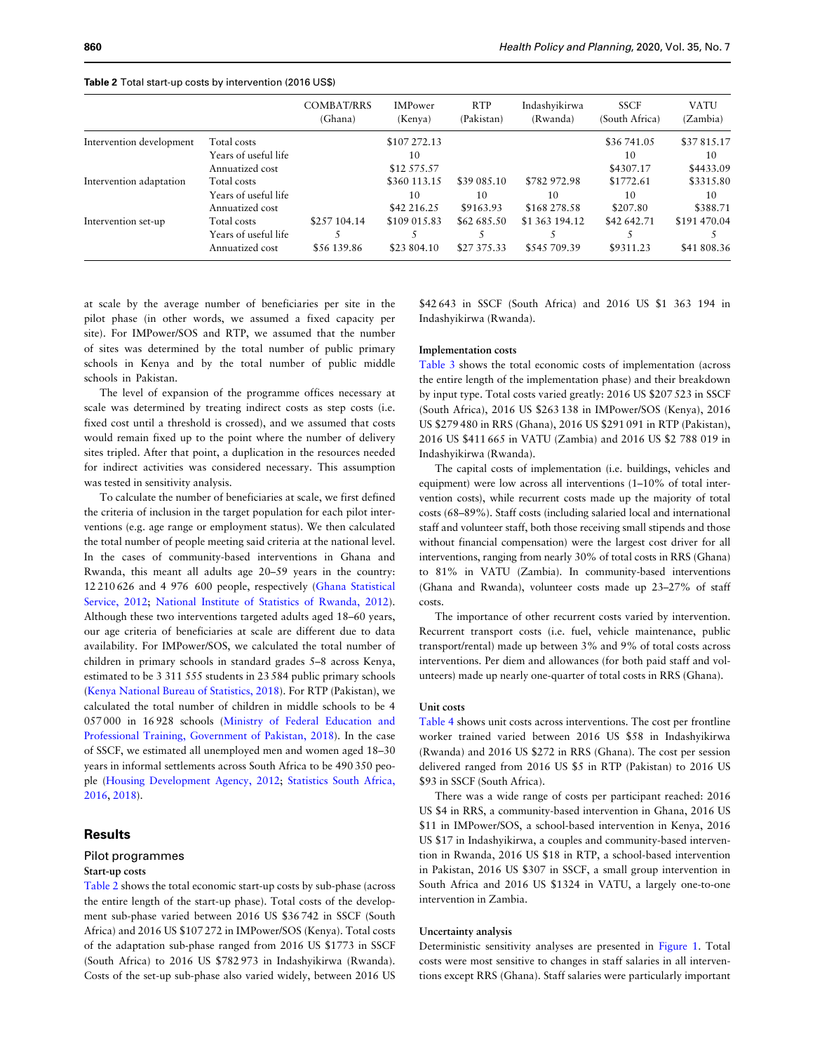|                          |                      | <b>COMBAT/RRS</b><br>(Ghana) | <b>IMPower</b><br>(Kenya) | <b>RTP</b><br>(Pakistan) | Indashyikirwa<br>(Rwanda) | <b>SSCF</b><br>(South Africa) | <b>VATU</b><br>(Zambia) |
|--------------------------|----------------------|------------------------------|---------------------------|--------------------------|---------------------------|-------------------------------|-------------------------|
| Intervention development | Total costs          |                              | \$107 272.13              |                          |                           | \$36 741.05                   | \$37815.17              |
|                          | Years of useful life |                              | 10                        |                          |                           | 10                            | 10                      |
|                          | Annuatized cost      |                              | \$12 575.57               |                          |                           | \$4307.17                     | \$4433.09               |
| Intervention adaptation  | Total costs          |                              | \$360 113.15              | \$39 085.10              | \$782 972.98              | \$1772.61                     | \$3315.80               |
|                          | Years of useful life |                              | 10                        | 10                       | 10                        | 10                            | 10                      |
|                          | Annuatized cost      |                              | \$42 216.25               | \$9163.93                | \$168 278.58              | \$207.80                      | \$388.71                |
| Intervention set-up      | Total costs          | \$257 104.14                 | \$109 015.83              | \$62 685.50              | \$1 363 194.12            | \$42,642.71                   | \$191 470.04            |
|                          | Years of useful life |                              |                           |                          |                           |                               |                         |
|                          | Annuatized cost      | \$56 139.86                  | \$23 804.10               | \$27 375.33              | \$545 709.39              | \$9311.23                     | \$41 808.36             |

Table 2 Total start-up costs by intervention (2016 US\$)

at scale by the average number of beneficiaries per site in the pilot phase (in other words, we assumed a fixed capacity per site). For IMPower/SOS and RTP, we assumed that the number of sites was determined by the total number of public primary schools in Kenya and by the total number of public middle schools in Pakistan.

The level of expansion of the programme offices necessary at scale was determined by treating indirect costs as step costs (i.e. fixed cost until a threshold is crossed), and we assumed that costs would remain fixed up to the point where the number of delivery sites tripled. After that point, a duplication in the resources needed for indirect activities was considered necessary. This assumption was tested in sensitivity analysis.

To calculate the number of beneficiaries at scale, we first defined the criteria of inclusion in the target population for each pilot interventions (e.g. age range or employment status). We then calculated the total number of people meeting said criteria at the national level. In the cases of community-based interventions in Ghana and Rwanda, this meant all adults age 20–59 years in the country: 12 210 626 and 4 976 600 people, respectively [\(Ghana Statistical](#page-11-0) [Service, 2012;](#page-11-0) [National Institute of Statistics of Rwanda, 2012](#page-11-0)). Although these two interventions targeted adults aged 18–60 years, our age criteria of beneficiaries at scale are different due to data availability. For IMPower/SOS, we calculated the total number of children in primary schools in standard grades 5–8 across Kenya, estimated to be 3 311 555 students in 23 584 public primary schools ([Kenya National Bureau of Statistics, 2018\)](#page-11-0). For RTP (Pakistan), we calculated the total number of children in middle schools to be 4 057 000 in 16 928 schools [\(Ministry of Federal Education and](#page-11-0) [Professional Training, Government of Pakistan, 2018](#page-11-0)). In the case of SSCF, we estimated all unemployed men and women aged 18–30 years in informal settlements across South Africa to be 490 350 people ([Housing Development Agency, 2012;](#page-11-0) [Statistics South Africa,](#page-11-0) [2016,](#page-11-0) [2018\)](#page-11-0).

## **Results**

## Pilot programmes

#### Start-up costs

Table 2 shows the total economic start-up costs by sub-phase (across the entire length of the start-up phase). Total costs of the development sub-phase varied between 2016 US \$36 742 in SSCF (South Africa) and 2016 US \$107 272 in IMPower/SOS (Kenya). Total costs of the adaptation sub-phase ranged from 2016 US \$1773 in SSCF (South Africa) to 2016 US \$782 973 in Indashyikirwa (Rwanda). Costs of the set-up sub-phase also varied widely, between 2016 US

\$42 643 in SSCF (South Africa) and 2016 US \$1 363 194 in Indashyikirwa (Rwanda).

## Implementation costs

[Table 3](#page-6-0) shows the total economic costs of implementation (across the entire length of the implementation phase) and their breakdown by input type. Total costs varied greatly: 2016 US \$207 523 in SSCF (South Africa), 2016 US \$263 138 in IMPower/SOS (Kenya), 2016 US \$279 480 in RRS (Ghana), 2016 US \$291 091 in RTP (Pakistan), 2016 US \$411 665 in VATU (Zambia) and 2016 US \$2 788 019 in Indashyikirwa (Rwanda).

The capital costs of implementation (i.e. buildings, vehicles and equipment) were low across all interventions (1–10% of total intervention costs), while recurrent costs made up the majority of total costs (68–89%). Staff costs (including salaried local and international staff and volunteer staff, both those receiving small stipends and those without financial compensation) were the largest cost driver for all interventions, ranging from nearly 30% of total costs in RRS (Ghana) to 81% in VATU (Zambia). In community-based interventions (Ghana and Rwanda), volunteer costs made up 23–27% of staff costs.

The importance of other recurrent costs varied by intervention. Recurrent transport costs (i.e. fuel, vehicle maintenance, public transport/rental) made up between 3% and 9% of total costs across interventions. Per diem and allowances (for both paid staff and volunteers) made up nearly one-quarter of total costs in RRS (Ghana).

#### Unit costs

[Table 4](#page-7-0) shows unit costs across interventions. The cost per frontline worker trained varied between 2016 US \$58 in Indashyikirwa (Rwanda) and 2016 US \$272 in RRS (Ghana). The cost per session delivered ranged from 2016 US \$5 in RTP (Pakistan) to 2016 US \$93 in SSCF (South Africa).

There was a wide range of costs per participant reached: 2016 US \$4 in RRS, a community-based intervention in Ghana, 2016 US \$11 in IMPower/SOS, a school-based intervention in Kenya, 2016 US \$17 in Indashyikirwa, a couples and community-based intervention in Rwanda, 2016 US \$18 in RTP, a school-based intervention in Pakistan, 2016 US \$307 in SSCF, a small group intervention in South Africa and 2016 US \$1324 in VATU, a largely one-to-one intervention in Zambia.

#### Uncertainty analysis

Deterministic sensitivity analyses are presented in [Figure 1.](#page-7-0) Total costs were most sensitive to changes in staff salaries in all interventions except RRS (Ghana). Staff salaries were particularly important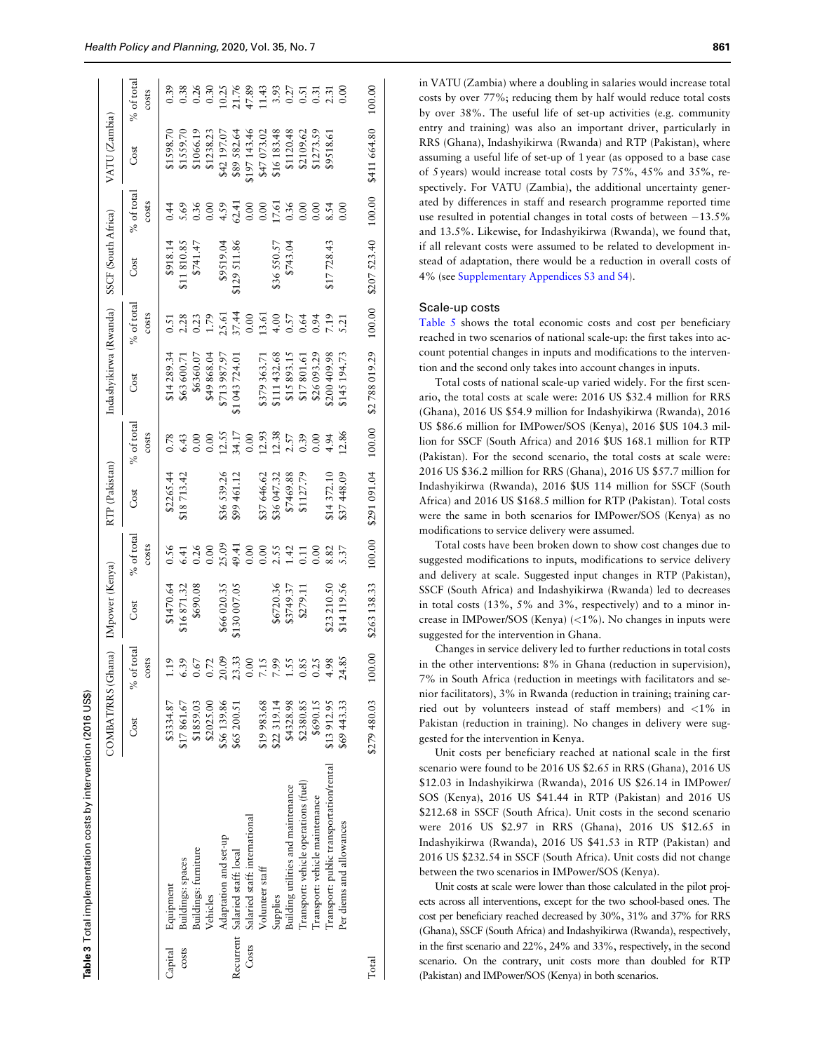<span id="page-6-0"></span>

|         |                                         | COMBAT/RRS (Ghana) |                                                                                                                          | IMpower (Kenya)                        |                                                                                                  | RTP (Pakistan) |                                                                                                                                  | Indashyikirwa (Rwanda)                                                                              |                        | SSCF (South Africa) |                                                      | VATU (Zambia)                              |              |
|---------|-----------------------------------------|--------------------|--------------------------------------------------------------------------------------------------------------------------|----------------------------------------|--------------------------------------------------------------------------------------------------|----------------|----------------------------------------------------------------------------------------------------------------------------------|-----------------------------------------------------------------------------------------------------|------------------------|---------------------|------------------------------------------------------|--------------------------------------------|--------------|
|         |                                         | Cost               | of total<br>ँ                                                                                                            | Cost                                   | % of total                                                                                       | Cost           | % of total                                                                                                                       | Cost                                                                                                | % of total             | Cost                | % of total                                           | Cost                                       | $%$ of total |
|         |                                         |                    | costs                                                                                                                    |                                        | costs                                                                                            |                | costs                                                                                                                            |                                                                                                     | costs                  |                     | costs                                                |                                            | costs        |
| Capital | Equipment                               | \$3334.87          | 1.19                                                                                                                     |                                        |                                                                                                  | \$2265.44      |                                                                                                                                  | \$14 289.34                                                                                         |                        | \$918.14            | 0.44                                                 | \$1598.70                                  |              |
| COStS   | Buildings: spaces                       | \$17861.67         |                                                                                                                          | $$1470.64$<br>$$16871.32$<br>$$690.08$ |                                                                                                  | \$18713.42     | $0.78$<br>6.43<br>0.00                                                                                                           | \$63 600.71                                                                                         |                        | \$11810.85          |                                                      | \$1559.70                                  |              |
|         | Buildings: furniture                    | \$1859.03          | 5.39<br>0.67                                                                                                             |                                        |                                                                                                  |                |                                                                                                                                  | \$6360.07                                                                                           | $2.28$<br>0.23         | \$741.47            | 5.69<br>0.36                                         | \$1066.19                                  |              |
|         | Vehicles                                | \$2025.00          | $\begin{array}{c} 0.72 \\ 20.09 \\ 21.33 \\ 13.39 \\ 0.00 \\ 7.19 \\ 7.59 \\ 8.8 \\ 1.53 \\ 0.34 \\ 4.98 \\ \end{array}$ |                                        | $0.56$<br>$6.41$<br>$0.26$<br>$0.0$                                                              |                |                                                                                                                                  | \$49 868.04                                                                                         | 1.79                   |                     |                                                      | \$1238.23                                  |              |
|         | Adaptation and set-up                   | \$56139.86         |                                                                                                                          | \$66 020.35                            |                                                                                                  | \$36 539.26    |                                                                                                                                  | \$713 987.97                                                                                        |                        | \$9519.04           |                                                      | \$42 197.07                                |              |
|         | Recurrent Salaried staff: local         | \$65 200.51        |                                                                                                                          | \$130 007.05                           |                                                                                                  | \$99 461.12    |                                                                                                                                  | \$1 043 724.01                                                                                      |                        | 129 511.86          |                                                      |                                            |              |
| Costs   | Salaried staff: international           |                    |                                                                                                                          |                                        |                                                                                                  |                |                                                                                                                                  |                                                                                                     | 25.61<br>37.44<br>0.00 |                     |                                                      | \$89 582.64<br>\$197 143.46<br>\$47 073.02 |              |
|         | Volunteer staff                         | 19983.68           |                                                                                                                          |                                        | $\begin{array}{c} 25.09 \\ 49.41 \\ 0.00 \\ 0.00 \\ 1.42 \\ 1.11 \\ 0.00 \\ 0.00 \\ \end{array}$ | \$37646.62     | $\begin{array}{c} 0.00 \\ 0.55 \\ 1.51 \\ 0.00 \\ 0.01 \\ 1.38 \\ 0.39 \\ 0.39 \\ 0.39 \\ 0.49 \\ 4.94 \\ 1.28 \\ 6 \end{array}$ | $\begin{array}{l} 8379\ 363.71\\ 811\ 432.68\\ 815\ 893.15\\ 817\ 801.61\\ 826\ 093.29 \end{array}$ |                        |                     | $0.00$<br>$4.59$<br>$62.41$<br>$0.00$<br>$0.00$      |                                            |              |
|         | Supplies                                | \$22319.14         |                                                                                                                          | \$6720.36                              |                                                                                                  | \$36047.32     |                                                                                                                                  |                                                                                                     |                        | \$36550.57          | $\begin{array}{c} 17.61 \\ 0.36 \\ 0.00 \end{array}$ | \$16183.48                                 |              |
|         | Building utilities and maintenance      | \$4328.98          |                                                                                                                          | \$3749.37                              |                                                                                                  | \$7469.88      |                                                                                                                                  |                                                                                                     |                        | \$743.04            |                                                      | \$1120.48                                  |              |
|         | [ransport: vehicle operations (fuel)    | \$2380.85          |                                                                                                                          | \$279.11                               |                                                                                                  | \$1127.79      |                                                                                                                                  |                                                                                                     |                        |                     |                                                      | \$2109.62                                  |              |
|         | Transport: vehicle maintenance          | \$690.15           |                                                                                                                          |                                        |                                                                                                  |                |                                                                                                                                  |                                                                                                     |                        |                     |                                                      | \$1273.59                                  |              |
|         | Transport: public transportation/rental | \$13912.95         |                                                                                                                          | \$23 210.50                            | 8.82<br>5.37                                                                                     | \$14372.10     |                                                                                                                                  | \$200 409.98                                                                                        |                        | \$17728.43          | $0.00$<br>$8.50$                                     | \$9518.61                                  |              |
|         | Per diems and allowances                | \$69443.33         | 24.85                                                                                                                    | \$14119.56                             |                                                                                                  | \$37448.09     |                                                                                                                                  | 145 194.73                                                                                          |                        |                     |                                                      |                                            |              |
| Total   |                                         |                    |                                                                                                                          |                                        |                                                                                                  |                |                                                                                                                                  |                                                                                                     |                        |                     |                                                      |                                            |              |

Table 3 Total implementation costs by intervention (2016 US\$)

Total implementation costs by intervention (2016 US\$)

in VATU (Zambia) where a doubling in salaries would increase total costs by over 77%; reducing them by half would reduce total costs by over 38%. The useful life of set-up activities (e.g. community entry and training) was also an important driver, particularly in RRS (Ghana), Indashyikirwa (Rwanda) and RTP (Pakistan), where assuming a useful life of set-up of 1 year (as opposed to a base case of 5 years) would increase total costs by 75%, 45% and 35%, respectively. For VATU (Zambia), the additional uncertainty generated by differences in staff and research programme reported time use resulted in potential changes in total costs of between  $-13.5\%$ and 13.5%. Likewise, for Indashyikirwa (Rwanda), we found that, if all relevant costs were assumed to be related to development instead of adaptation, there would be a reduction in overall costs of 4% (see [Supplementary Appendices S3 and S4\)](https://academic.oup.com/heapol/article-lookup/doi/10.1093/heapol/czaa024#supplementary-data).

#### Scale-up costs

[Table 5](#page-8-0) shows the total economic costs and cost per beneficiary reached in two scenarios of national scale-up: the first takes into account potential changes in inputs and modifications to the intervention and the second only takes into account changes in inputs.

Total costs of national scale-up varied widely. For the first scenario, the total costs at scale were: 2016 US \$32.4 million for RRS (Ghana), 2016 US \$54.9 million for Indashyikirwa (Rwanda), 2016 US \$86.6 million for IMPower/SOS (Kenya), 2016 \$US 104.3 million for SSCF (South Africa) and 2016 \$US 168.1 million for RTP (Pakistan). For the second scenario, the total costs at scale were: 2016 US \$36.2 million for RRS (Ghana), 2016 US \$57.7 million for Indashyikirwa (Rwanda), 2016 \$US 114 million for SSCF (South Africa) and 2016 US \$168.5 million for RTP (Pakistan). Total costs were the same in both scenarios for IMPower/SOS (Kenya) as no modifications to service delivery were assumed.

Total costs have been broken down to show cost changes due to suggested modifications to inputs, modifications to service delivery and delivery at scale. Suggested input changes in RTP (Pakistan), SSCF (South Africa) and Indashyikirwa (Rwanda) led to decreases in total costs (13%, 5% and 3%, respectively) and to a minor increase in IMPower/SOS (Kenya) (<1%). No changes in inputs were suggested for the intervention in Ghana.

Changes in service delivery led to further reductions in total costs in the other interventions: 8% in Ghana (reduction in supervision), 7% in South Africa (reduction in meetings with facilitators and senior facilitators), 3% in Rwanda (reduction in training; training carried out by volunteers instead of staff members) and <1% in Pakistan (reduction in training). No changes in delivery were suggested for the intervention in Kenya.

Unit costs per beneficiary reached at national scale in the first scenario were found to be 2016 US \$2.65 in RRS (Ghana), 2016 US \$12.03 in Indashyikirwa (Rwanda), 2016 US \$26.14 in IMPower/ SOS (Kenya), 2016 US \$41.44 in RTP (Pakistan) and 2016 US \$212.68 in SSCF (South Africa). Unit costs in the second scenario were 2016 US \$2.97 in RRS (Ghana), 2016 US \$12.65 in Indashyikirwa (Rwanda), 2016 US \$41.53 in RTP (Pakistan) and 2016 US \$232.54 in SSCF (South Africa). Unit costs did not change between the two scenarios in IMPower/SOS (Kenya).

Unit costs at scale were lower than those calculated in the pilot projects across all interventions, except for the two school-based ones. The cost per beneficiary reached decreased by 30%, 31% and 37% for RRS (Ghana), SSCF (South Africa) and Indashyikirwa (Rwanda), respectively, in the first scenario and 22%, 24% and 33%, respectively, in the second scenario. On the contrary, unit costs more than doubled for RTP (Pakistan) and IMPower/SOS (Kenya) in both scenarios.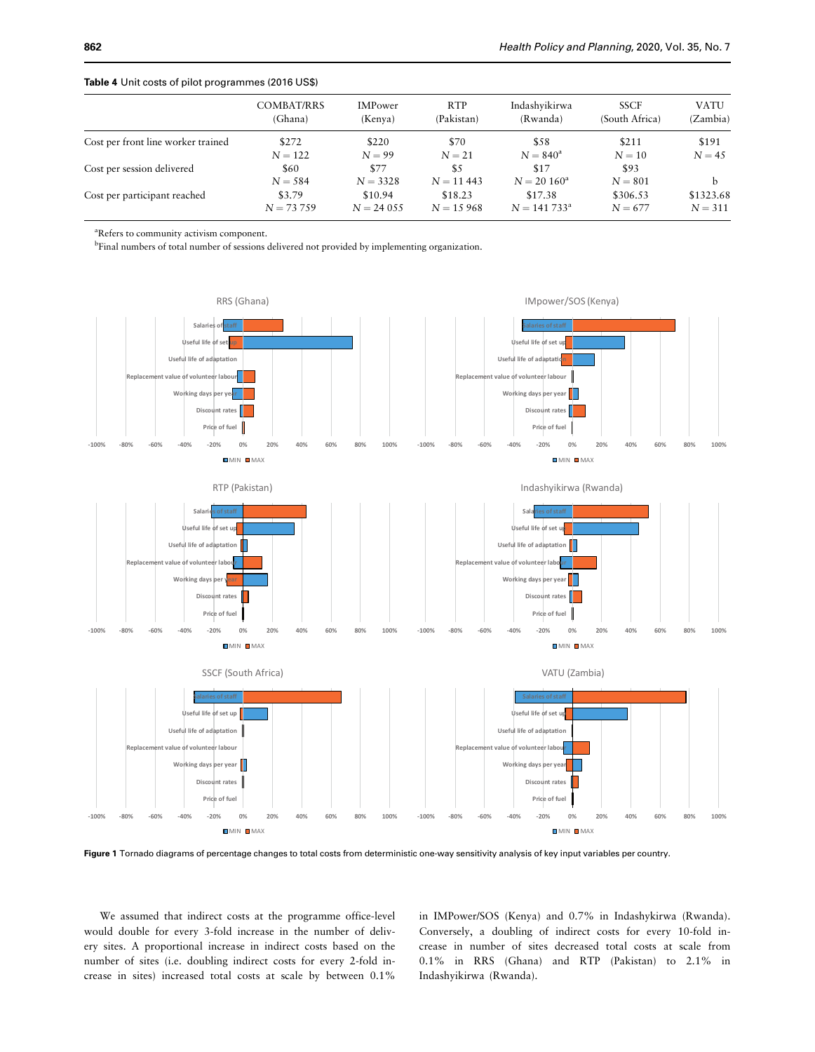|                                    | <b>COMBAT/RRS</b><br>(Ghana) | <b>IMPower</b><br>(Kenya) | <b>RTP</b><br>(Pakistan) | Indashyikirwa<br>(Rwanda) | <b>SSCF</b><br>(South Africa) | <b>VATU</b><br>(Zambia) |
|------------------------------------|------------------------------|---------------------------|--------------------------|---------------------------|-------------------------------|-------------------------|
| Cost per front line worker trained | \$272                        | \$220                     | \$70                     | \$58                      | \$211                         | \$191                   |
|                                    | $N = 122$                    | $N = 99$                  | $N = 21$                 | $N = 840^{\rm a}$         | $N = 10$                      | $N = 45$                |
| Cost per session delivered         | \$60                         | \$77                      | \$5                      | \$17                      | \$93                          |                         |
|                                    | $N = 584$                    | $N = 3328$                | $N = 11443$              | $N = 20 160^a$            | $N = 801$                     |                         |
| Cost per participant reached       | \$3.79                       | \$10.94                   | \$18.23                  | \$17.38                   | \$306.53                      | \$1323.68               |
|                                    | $N = 73,759$                 | $N = 24055$               | $N = 15968$              | $N = 141733^a$            | $N = 677$                     | $N = 311$               |

## <span id="page-7-0"></span>Table 4 Unit costs of pilot programmes (2016 US\$)

a Refers to community activism component.

<sup>b</sup>Final numbers of total number of sessions delivered not provided by implementing organization.



Figure 1 Tornado diagrams of percentage changes to total costs from deterministic one-way sensitivity analysis of key input variables per country.

We assumed that indirect costs at the programme office-level would double for every 3-fold increase in the number of delivery sites. A proportional increase in indirect costs based on the number of sites (i.e. doubling indirect costs for every 2-fold increase in sites) increased total costs at scale by between 0.1%

in IMPower/SOS (Kenya) and 0.7% in Indashykirwa (Rwanda). Conversely, a doubling of indirect costs for every 10-fold increase in number of sites decreased total costs at scale from 0.1% in RRS (Ghana) and RTP (Pakistan) to 2.1% in Indashyikirwa (Rwanda).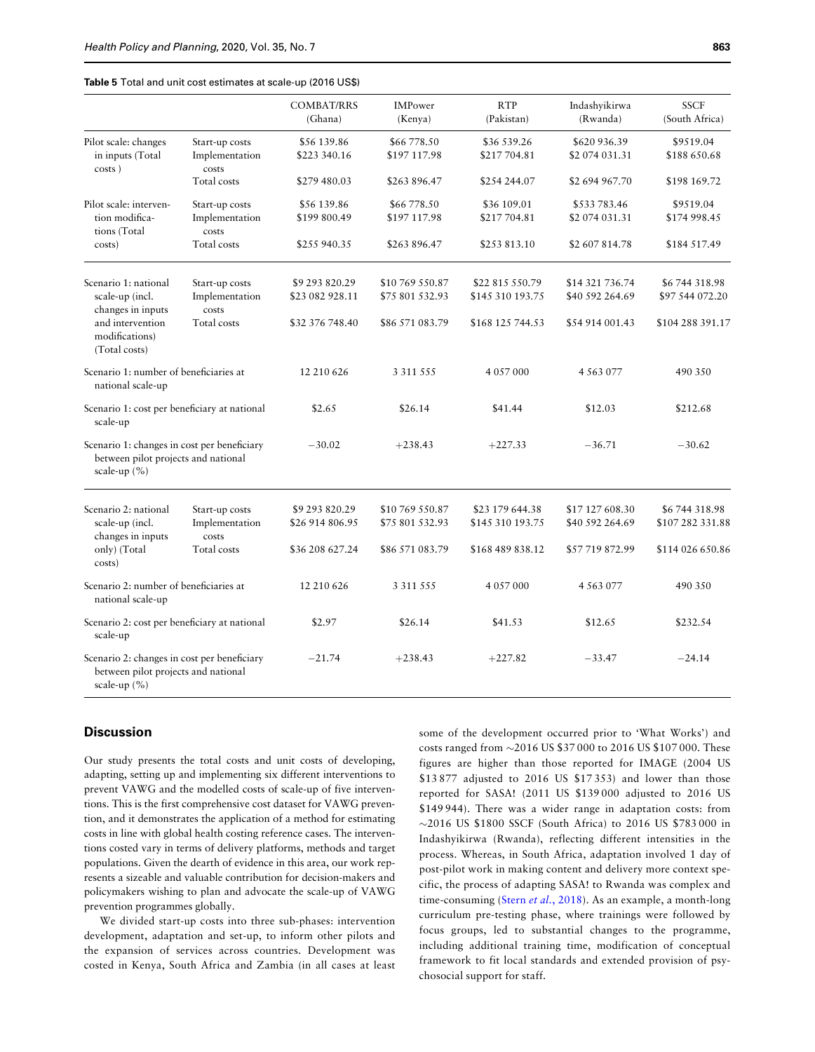#### <span id="page-8-0"></span>Table 5 Total and unit cost estimates at scale-up (2016 US\$)

|                                                                                                        |                                                          | <b>COMBAT/RRS</b><br>(Ghana)                         | <b>IMPower</b><br>(Kenya)                             | <b>RTP</b><br>(Pakistan)                                | Indashyikirwa<br>(Rwanda)                             | <b>SSCF</b><br>(South Africa)                       |
|--------------------------------------------------------------------------------------------------------|----------------------------------------------------------|------------------------------------------------------|-------------------------------------------------------|---------------------------------------------------------|-------------------------------------------------------|-----------------------------------------------------|
| Pilot scale: changes<br>in inputs (Total                                                               | Start-up costs<br>Implementation<br>costs                | \$56 139.86<br>\$223 340.16                          | \$66 778.50<br>\$197 117.98                           | \$36 539.26<br>\$217704.81                              | \$620 936.39<br>\$2 074 031.31                        | \$9519.04<br>\$188 650.68                           |
| costs)                                                                                                 | Total costs                                              | \$279 480.03                                         | \$263 896.47                                          | \$254 244.07                                            | \$2 694 967.70                                        | \$198 169.72                                        |
| Pilot scale: interven-<br>tion modifica-<br>tions (Total                                               | Start-up costs<br>Implementation<br>costs                | \$56 139.86<br>\$199 800.49                          | \$66 778.50<br>\$197 117.98                           | \$36 109.01<br>\$217704.81                              | \$533783.46<br>\$2 074 031.31                         | \$9519.04<br>\$174 998.45                           |
| costs)                                                                                                 | Total costs                                              | \$255 940.35                                         | \$263 896.47                                          | \$253 813.10                                            | \$2 607 814.78                                        | \$184 517.49                                        |
| Scenario 1: national<br>scale-up (incl.<br>changes in inputs<br>and intervention                       | Start-up costs<br>Implementation<br>costs<br>Total costs | \$9 293 820.29<br>\$23 082 928.11<br>\$32 376 748.40 | \$10 769 550.87<br>\$75 801 532.93<br>\$86 571 083.79 | \$22 815 550.79<br>\$145 310 193.75<br>\$168 125 744.53 | \$14 321 736.74<br>\$40 592 264.69<br>\$54 914 001.43 | \$6744318.98<br>\$97 544 072.20<br>\$104 288 391.17 |
| modifications)<br>(Total costs)                                                                        |                                                          |                                                      |                                                       |                                                         |                                                       |                                                     |
| Scenario 1: number of beneficiaries at<br>national scale-up                                            |                                                          | 12 210 626                                           | 3 3 1 5 5 5                                           | 4 0 5 7 0 0 0                                           | 4 5 6 3 0 7 7                                         | 490 350                                             |
| Scenario 1: cost per beneficiary at national<br>scale-up                                               |                                                          | \$2.65                                               | \$26.14                                               | \$41.44                                                 | \$12.03                                               | \$212.68                                            |
| Scenario 1: changes in cost per beneficiary<br>between pilot projects and national<br>scale-up (%)     |                                                          | $-30.02$                                             | $+238.43$                                             | $+227.33$                                               | $-36.71$                                              | $-30.62$                                            |
| Scenario 2: national<br>scale-up (incl.<br>changes in inputs                                           | Start-up costs<br>Implementation<br>costs                | \$9 293 820.29<br>\$26 914 806.95                    | \$10 769 550.87<br>\$75 801 532.93                    | \$23 179 644.38<br>\$145 310 193.75                     | \$17 127 608.30<br>\$40 592 264.69                    | \$6744318.98<br>\$107 282 331.88                    |
| only) (Total<br>costs)                                                                                 | Total costs                                              | \$36 208 627.24                                      | \$86 571 083.79                                       | \$168 489 838.12                                        | \$57 719 872.99                                       | \$114 026 650.86                                    |
| Scenario 2: number of beneficiaries at<br>national scale-up                                            |                                                          | 12 210 626                                           | 3 3 1 5 5 5                                           | 4 0 5 7 0 0 0                                           | 4 5 6 3 0 7 7                                         | 490 350                                             |
| Scenario 2: cost per beneficiary at national<br>scale-up                                               |                                                          | \$2.97                                               | \$26.14                                               | \$41.53                                                 | \$12.65                                               | \$232.54                                            |
| Scenario 2: changes in cost per beneficiary<br>between pilot projects and national<br>scale-up $(\% )$ |                                                          | $-21.74$                                             | $+238.43$                                             | $+227.82$                                               | $-33.47$                                              | $-24.14$                                            |

# **Discussion**

Our study presents the total costs and unit costs of developing, adapting, setting up and implementing six different interventions to prevent VAWG and the modelled costs of scale-up of five interventions. This is the first comprehensive cost dataset for VAWG prevention, and it demonstrates the application of a method for estimating costs in line with global health costing reference cases. The interventions costed vary in terms of delivery platforms, methods and target populations. Given the dearth of evidence in this area, our work represents a sizeable and valuable contribution for decision-makers and policymakers wishing to plan and advocate the scale-up of VAWG prevention programmes globally.

We divided start-up costs into three sub-phases: intervention development, adaptation and set-up, to inform other pilots and the expansion of services across countries. Development was costed in Kenya, South Africa and Zambia (in all cases at least some of the development occurred prior to 'What Works') and costs ranged from -2016 US \$37 000 to 2016 US \$107 000. These figures are higher than those reported for IMAGE (2004 US \$13 877 adjusted to 2016 US \$17 353) and lower than those reported for SASA! (2011 US \$139 000 adjusted to 2016 US \$149 944). There was a wider range in adaptation costs: from -2016 US \$1800 SSCF (South Africa) to 2016 US \$783 000 in Indashyikirwa (Rwanda), reflecting different intensities in the process. Whereas, in South Africa, adaptation involved 1 day of post-pilot work in making content and delivery more context specific, the process of adapting SASA! to Rwanda was complex and time-consuming (Stern et al.[, 2018\)](#page-11-0). As an example, a month-long curriculum pre-testing phase, where trainings were followed by focus groups, led to substantial changes to the programme, including additional training time, modification of conceptual framework to fit local standards and extended provision of psychosocial support for staff.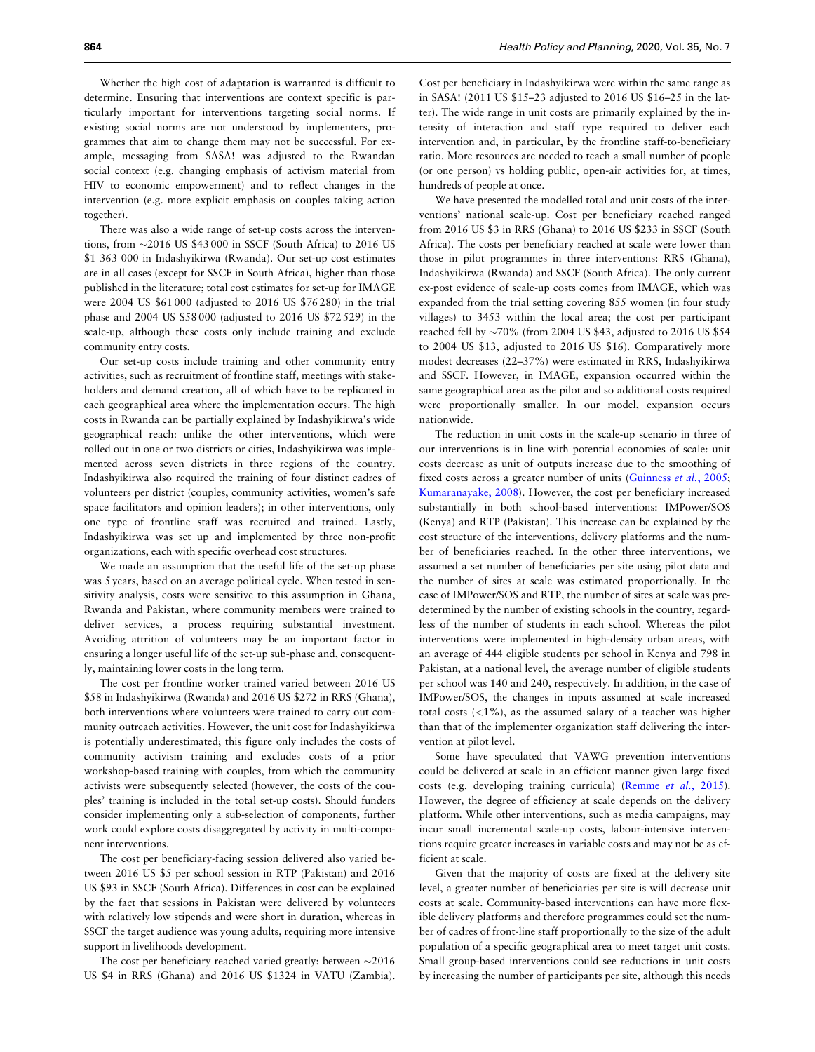Whether the high cost of adaptation is warranted is difficult to determine. Ensuring that interventions are context specific is particularly important for interventions targeting social norms. If existing social norms are not understood by implementers, programmes that aim to change them may not be successful. For example, messaging from SASA! was adjusted to the Rwandan social context (e.g. changing emphasis of activism material from HIV to economic empowerment) and to reflect changes in the intervention (e.g. more explicit emphasis on couples taking action together).

There was also a wide range of set-up costs across the interventions, from -2016 US \$43 000 in SSCF (South Africa) to 2016 US \$1 363 000 in Indashyikirwa (Rwanda). Our set-up cost estimates are in all cases (except for SSCF in South Africa), higher than those published in the literature; total cost estimates for set-up for IMAGE were 2004 US \$61 000 (adjusted to 2016 US \$76 280) in the trial phase and 2004 US \$58 000 (adjusted to 2016 US \$72 529) in the scale-up, although these costs only include training and exclude community entry costs.

Our set-up costs include training and other community entry activities, such as recruitment of frontline staff, meetings with stakeholders and demand creation, all of which have to be replicated in each geographical area where the implementation occurs. The high costs in Rwanda can be partially explained by Indashyikirwa's wide geographical reach: unlike the other interventions, which were rolled out in one or two districts or cities, Indashyikirwa was implemented across seven districts in three regions of the country. Indashyikirwa also required the training of four distinct cadres of volunteers per district (couples, community activities, women's safe space facilitators and opinion leaders); in other interventions, only one type of frontline staff was recruited and trained. Lastly, Indashyikirwa was set up and implemented by three non-profit organizations, each with specific overhead cost structures.

We made an assumption that the useful life of the set-up phase was 5 years, based on an average political cycle. When tested in sensitivity analysis, costs were sensitive to this assumption in Ghana, Rwanda and Pakistan, where community members were trained to deliver services, a process requiring substantial investment. Avoiding attrition of volunteers may be an important factor in ensuring a longer useful life of the set-up sub-phase and, consequently, maintaining lower costs in the long term.

The cost per frontline worker trained varied between 2016 US \$58 in Indashyikirwa (Rwanda) and 2016 US \$272 in RRS (Ghana), both interventions where volunteers were trained to carry out community outreach activities. However, the unit cost for Indashyikirwa is potentially underestimated; this figure only includes the costs of community activism training and excludes costs of a prior workshop-based training with couples, from which the community activists were subsequently selected (however, the costs of the couples' training is included in the total set-up costs). Should funders consider implementing only a sub-selection of components, further work could explore costs disaggregated by activity in multi-component interventions.

The cost per beneficiary-facing session delivered also varied between 2016 US \$5 per school session in RTP (Pakistan) and 2016 US \$93 in SSCF (South Africa). Differences in cost can be explained by the fact that sessions in Pakistan were delivered by volunteers with relatively low stipends and were short in duration, whereas in SSCF the target audience was young adults, requiring more intensive support in livelihoods development.

The cost per beneficiary reached varied greatly: between  $\sim$ 2016 US \$4 in RRS (Ghana) and 2016 US \$1324 in VATU (Zambia).

Cost per beneficiary in Indashyikirwa were within the same range as in SASA! (2011 US \$15–23 adjusted to 2016 US \$16–25 in the latter). The wide range in unit costs are primarily explained by the intensity of interaction and staff type required to deliver each intervention and, in particular, by the frontline staff-to-beneficiary ratio. More resources are needed to teach a small number of people (or one person) vs holding public, open-air activities for, at times, hundreds of people at once.

We have presented the modelled total and unit costs of the interventions' national scale-up. Cost per beneficiary reached ranged from 2016 US \$3 in RRS (Ghana) to 2016 US \$233 in SSCF (South Africa). The costs per beneficiary reached at scale were lower than those in pilot programmes in three interventions: RRS (Ghana), Indashyikirwa (Rwanda) and SSCF (South Africa). The only current ex-post evidence of scale-up costs comes from IMAGE, which was expanded from the trial setting covering 855 women (in four study villages) to 3453 within the local area; the cost per participant reached fell by  $\sim$ 70% (from 2004 US \$43, adjusted to 2016 US \$54 to 2004 US \$13, adjusted to 2016 US \$16). Comparatively more modest decreases (22–37%) were estimated in RRS, Indashyikirwa and SSCF. However, in IMAGE, expansion occurred within the same geographical area as the pilot and so additional costs required were proportionally smaller. In our model, expansion occurs nationwide.

The reduction in unit costs in the scale-up scenario in three of our interventions is in line with potential economies of scale: unit costs decrease as unit of outputs increase due to the smoothing of fixed costs across a greater number of units ([Guinness](#page-11-0) et al., 2005; [Kumaranayake, 2008\)](#page-11-0). However, the cost per beneficiary increased substantially in both school-based interventions: IMPower/SOS (Kenya) and RTP (Pakistan). This increase can be explained by the cost structure of the interventions, delivery platforms and the number of beneficiaries reached. In the other three interventions, we assumed a set number of beneficiaries per site using pilot data and the number of sites at scale was estimated proportionally. In the case of IMPower/SOS and RTP, the number of sites at scale was predetermined by the number of existing schools in the country, regardless of the number of students in each school. Whereas the pilot interventions were implemented in high-density urban areas, with an average of 444 eligible students per school in Kenya and 798 in Pakistan, at a national level, the average number of eligible students per school was 140 and 240, respectively. In addition, in the case of IMPower/SOS, the changes in inputs assumed at scale increased total costs  $\left($  <1%), as the assumed salary of a teacher was higher than that of the implementer organization staff delivering the intervention at pilot level.

Some have speculated that VAWG prevention interventions could be delivered at scale in an efficient manner given large fixed costs (e.g. developing training curricula) ([Remme](#page-11-0) et al., 2015). However, the degree of efficiency at scale depends on the delivery platform. While other interventions, such as media campaigns, may incur small incremental scale-up costs, labour-intensive interventions require greater increases in variable costs and may not be as efficient at scale.

Given that the majority of costs are fixed at the delivery site level, a greater number of beneficiaries per site is will decrease unit costs at scale. Community-based interventions can have more flexible delivery platforms and therefore programmes could set the number of cadres of front-line staff proportionally to the size of the adult population of a specific geographical area to meet target unit costs. Small group-based interventions could see reductions in unit costs by increasing the number of participants per site, although this needs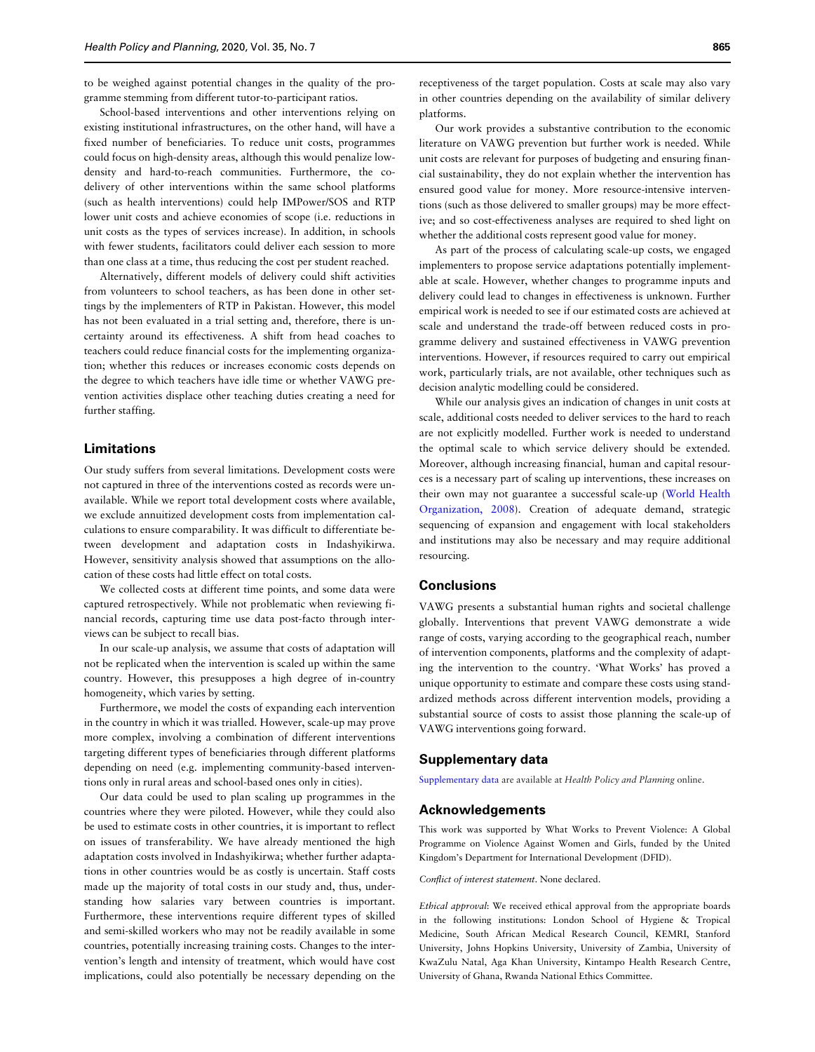to be weighed against potential changes in the quality of the programme stemming from different tutor-to-participant ratios.

School-based interventions and other interventions relying on existing institutional infrastructures, on the other hand, will have a fixed number of beneficiaries. To reduce unit costs, programmes could focus on high-density areas, although this would penalize lowdensity and hard-to-reach communities. Furthermore, the codelivery of other interventions within the same school platforms (such as health interventions) could help IMPower/SOS and RTP lower unit costs and achieve economies of scope (i.e. reductions in unit costs as the types of services increase). In addition, in schools with fewer students, facilitators could deliver each session to more than one class at a time, thus reducing the cost per student reached.

Alternatively, different models of delivery could shift activities from volunteers to school teachers, as has been done in other settings by the implementers of RTP in Pakistan. However, this model has not been evaluated in a trial setting and, therefore, there is uncertainty around its effectiveness. A shift from head coaches to teachers could reduce financial costs for the implementing organization; whether this reduces or increases economic costs depends on the degree to which teachers have idle time or whether VAWG prevention activities displace other teaching duties creating a need for further staffing.

# Limitations

Our study suffers from several limitations. Development costs were not captured in three of the interventions costed as records were unavailable. While we report total development costs where available, we exclude annuitized development costs from implementation calculations to ensure comparability. It was difficult to differentiate between development and adaptation costs in Indashyikirwa. However, sensitivity analysis showed that assumptions on the allocation of these costs had little effect on total costs.

We collected costs at different time points, and some data were captured retrospectively. While not problematic when reviewing financial records, capturing time use data post-facto through interviews can be subject to recall bias.

In our scale-up analysis, we assume that costs of adaptation will not be replicated when the intervention is scaled up within the same country. However, this presupposes a high degree of in-country homogeneity, which varies by setting.

Furthermore, we model the costs of expanding each intervention in the country in which it was trialled. However, scale-up may prove more complex, involving a combination of different interventions targeting different types of beneficiaries through different platforms depending on need (e.g. implementing community-based interventions only in rural areas and school-based ones only in cities).

Our data could be used to plan scaling up programmes in the countries where they were piloted. However, while they could also be used to estimate costs in other countries, it is important to reflect on issues of transferability. We have already mentioned the high adaptation costs involved in Indashyikirwa; whether further adaptations in other countries would be as costly is uncertain. Staff costs made up the majority of total costs in our study and, thus, understanding how salaries vary between countries is important. Furthermore, these interventions require different types of skilled and semi-skilled workers who may not be readily available in some countries, potentially increasing training costs. Changes to the intervention's length and intensity of treatment, which would have cost implications, could also potentially be necessary depending on the

receptiveness of the target population. Costs at scale may also vary in other countries depending on the availability of similar delivery platforms.

Our work provides a substantive contribution to the economic literature on VAWG prevention but further work is needed. While unit costs are relevant for purposes of budgeting and ensuring financial sustainability, they do not explain whether the intervention has ensured good value for money. More resource-intensive interventions (such as those delivered to smaller groups) may be more effective; and so cost-effectiveness analyses are required to shed light on whether the additional costs represent good value for money.

As part of the process of calculating scale-up costs, we engaged implementers to propose service adaptations potentially implementable at scale. However, whether changes to programme inputs and delivery could lead to changes in effectiveness is unknown. Further empirical work is needed to see if our estimated costs are achieved at scale and understand the trade-off between reduced costs in programme delivery and sustained effectiveness in VAWG prevention interventions. However, if resources required to carry out empirical work, particularly trials, are not available, other techniques such as decision analytic modelling could be considered.

While our analysis gives an indication of changes in unit costs at scale, additional costs needed to deliver services to the hard to reach are not explicitly modelled. Further work is needed to understand the optimal scale to which service delivery should be extended. Moreover, although increasing financial, human and capital resources is a necessary part of scaling up interventions, these increases on their own may not guarantee a successful scale-up [\(World Health](#page-11-0) [Organization, 2008\)](#page-11-0). Creation of adequate demand, strategic sequencing of expansion and engagement with local stakeholders and institutions may also be necessary and may require additional resourcing.

# **Conclusions**

VAWG presents a substantial human rights and societal challenge globally. Interventions that prevent VAWG demonstrate a wide range of costs, varying according to the geographical reach, number of intervention components, platforms and the complexity of adapting the intervention to the country. 'What Works' has proved a unique opportunity to estimate and compare these costs using standardized methods across different intervention models, providing a substantial source of costs to assist those planning the scale-up of VAWG interventions going forward.

## Supplementary data

[Supplementary data](https://academic.oup.com/heapol/article-lookup/doi/10.1093/heapol/czaa024#supplementary-data) are available at Health Policy and Planning online.

# Acknowledgements

This work was supported by What Works to Prevent Violence: A Global Programme on Violence Against Women and Girls, funded by the United Kingdom's Department for International Development (DFID).

Conflict of interest statement. None declared.

Ethical approval: We received ethical approval from the appropriate boards in the following institutions: London School of Hygiene & Tropical Medicine, South African Medical Research Council, KEMRI, Stanford University, Johns Hopkins University, University of Zambia, University of KwaZulu Natal, Aga Khan University, Kintampo Health Research Centre, University of Ghana, Rwanda National Ethics Committee.